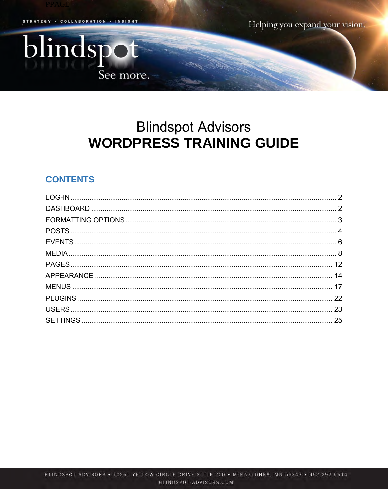. COLLABORATION . INSIGHT **STRATEGY** 

blindspot

See more.

Helping you expand your vision.

# **Blindspot Advisors WORDPRESS TRAINING GUIDE**

# **CONTENTS**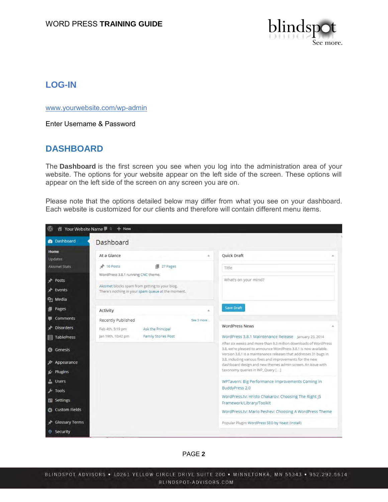

# <span id="page-1-0"></span>**LOG-IN**

[www.yourwebsite.com/wp-admin](http://www.yourwebsite.com/wp-admin)

Enter Username & Password

### <span id="page-1-1"></span>**DASHBOARD**

The **Dashboard** is the first screen you see when you log into the administration area of your website. The options for your website appear on the left side of the screen. These options will appear on the left side of the screen on any screen you are on.

Please note that the options detailed below may differ from what you see on your dashboard. Each website is customized for our clients and therefore will contain different menu items.

| $\omega$                              | Your Website Name   0 + New                                                                                                               |            |                                                                                                                                                                                                                                                                        |  |
|---------------------------------------|-------------------------------------------------------------------------------------------------------------------------------------------|------------|------------------------------------------------------------------------------------------------------------------------------------------------------------------------------------------------------------------------------------------------------------------------|--|
| <b>2</b> Dashboard                    | Dashboard                                                                                                                                 |            |                                                                                                                                                                                                                                                                        |  |
| Home<br><b>Updates</b>                | At a Glance                                                                                                                               | ٠          | <b>Ouick Draft</b>                                                                                                                                                                                                                                                     |  |
| <b>Akismet Stats</b>                  | 1 27 Pages<br>$+ 16$ Posts                                                                                                                |            | <b>Title</b>                                                                                                                                                                                                                                                           |  |
| Posts<br>P Events<br><b>吗</b> 】 Media | WordPress 3.8.1 running CNC theme.<br>Akismet blocks spam from getting to your blog.<br>There's nothing in your spam queue at the moment. |            | What's on your mind?                                                                                                                                                                                                                                                   |  |
| Pages                                 | Activity                                                                                                                                  |            | <b>Save Draft</b>                                                                                                                                                                                                                                                      |  |
| Comments                              | Recently Published                                                                                                                        | See 3 more |                                                                                                                                                                                                                                                                        |  |
| Disorders                             | Ask the Principal<br>Feb 4th, 5:19 pm                                                                                                     |            | <b>WordPress News</b><br>×                                                                                                                                                                                                                                             |  |
| <b>目 TablePress</b>                   | Jan 19th, 10:42 pm<br>Family Stories Post                                                                                                 |            | WordPress 3.8.1 Maintenance Release January 23, 2014                                                                                                                                                                                                                   |  |
| <b>6</b> Genesis                      |                                                                                                                                           |            | After six weeks and more than 9.3 million downloads of WordPress<br>3.8, we're pleased to announce WordPress 3.8.1 is now available.<br>Version 3.8.1 is a maintenance releases that addresses 31 bugs in<br>3.8, including various fixes and improvements for the new |  |
| Appearance<br>Plugins                 |                                                                                                                                           |            | dashboard design and new themes admin screen. An issue with<br>taxonomy queries in WP_Query []                                                                                                                                                                         |  |
| <b>L</b> Users                        |                                                                                                                                           |            | WPTavern: Big Performance Improvements Coming in                                                                                                                                                                                                                       |  |
| $\sqrt{2}$ Tools                      |                                                                                                                                           |            | BuddyPress 2.0                                                                                                                                                                                                                                                         |  |
| <b>En</b> Settings                    |                                                                                                                                           |            | WordPress.tv: Hristo Chakarov: Choosing The Right JS<br>Framework/Library/Toolkit                                                                                                                                                                                      |  |
| <b>卷 Custom Fields</b>                |                                                                                                                                           |            | WordPress.tv: Mario Peshev: Choosing A WordPress Theme                                                                                                                                                                                                                 |  |
| <b>Glossary Terms</b>                 |                                                                                                                                           |            | Popular Plugin: WordPress SEO by Yoast (Install)                                                                                                                                                                                                                       |  |
| Security                              |                                                                                                                                           |            |                                                                                                                                                                                                                                                                        |  |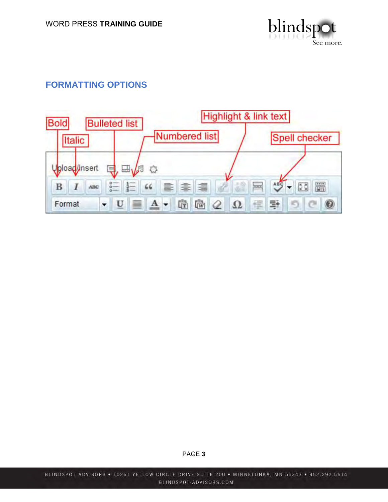

# <span id="page-2-0"></span>**FORMATTING OPTIONS**

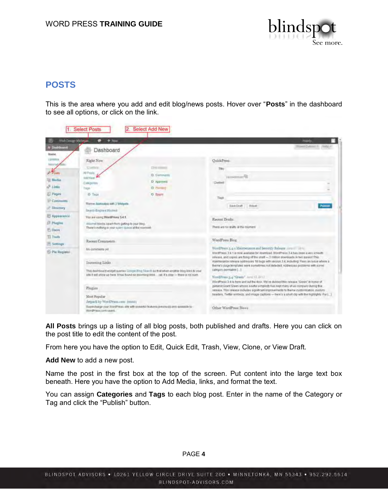

# <span id="page-3-0"></span>**POSTS**

This is the area where you add and edit blog/news posts. Hover over "**Posts**" in the dashboard to see all options, or click on the link.

|                             | <b>Select Posts</b>                                                                                        | Select Add New                                                                                                                                                                            |                                                                                                                                                                                                                                                                                      |                             |  |  |
|-----------------------------|------------------------------------------------------------------------------------------------------------|-------------------------------------------------------------------------------------------------------------------------------------------------------------------------------------------|--------------------------------------------------------------------------------------------------------------------------------------------------------------------------------------------------------------------------------------------------------------------------------------|-----------------------------|--|--|
| W<br>Web Design Michigan    | $+3446$                                                                                                    |                                                                                                                                                                                           |                                                                                                                                                                                                                                                                                      | <b>Hardy</b>                |  |  |
| n Deshburst<br>Home         | Dashboard                                                                                                  |                                                                                                                                                                                           |                                                                                                                                                                                                                                                                                      | TOWN Dylensin for (1992) in |  |  |
| Listeature<br><b>MARCH</b>  | Right Now                                                                                                  |                                                                                                                                                                                           | QuickPress                                                                                                                                                                                                                                                                           |                             |  |  |
| Prosts                      | Civilina<br>All Posts                                                                                      | The comes                                                                                                                                                                                 | Tibi-                                                                                                                                                                                                                                                                                |                             |  |  |
| <b>Hodia</b>                | <b>RECRUIT</b>                                                                                             | D. Commants                                                                                                                                                                               | <b><i>Uklimanman<sup>48</sup></i></b>                                                                                                                                                                                                                                                |                             |  |  |
| $2^6$ Links                 | Callegarian<br>Tape                                                                                        | D Approved.<br>O. Please of                                                                                                                                                               | Doctori                                                                                                                                                                                                                                                                              |                             |  |  |
| El Pages                    | <b>D</b> Tags                                                                                              | O Spam                                                                                                                                                                                    |                                                                                                                                                                                                                                                                                      |                             |  |  |
| Comments<br>A" Directory    | Theme Assessible with 2 Welgers                                                                            |                                                                                                                                                                                           | Tapi<br>SAVA Draft<br>REAR                                                                                                                                                                                                                                                           | <b>Publica</b>              |  |  |
|                             | <b>Insett Engine (Illigina)</b>                                                                            |                                                                                                                                                                                           |                                                                                                                                                                                                                                                                                      |                             |  |  |
| D Appearance                | You are camp WordPress 3.4.1.                                                                              |                                                                                                                                                                                           | Recent Drafts                                                                                                                                                                                                                                                                        |                             |  |  |
| <b>J. Plagles</b>           | Allismal blocks again from getting to your titing.<br>Thate's nothing in your spiern quests at the noomast |                                                                                                                                                                                           | There are no drafts at the moment                                                                                                                                                                                                                                                    |                             |  |  |
| US Daora                    |                                                                                                            |                                                                                                                                                                                           |                                                                                                                                                                                                                                                                                      |                             |  |  |
| Ti Tools<br>IF Settings     | Recent Comments                                                                                            |                                                                                                                                                                                           | WordFress Blog.                                                                                                                                                                                                                                                                      |                             |  |  |
| <sup>(C)</sup> Pie Register | No comments yet                                                                                            |                                                                                                                                                                                           | WordPress 3.4.1 Maintenance and Security Release Arms and Links<br>WordPress 3:4.1 is now available for download, WordPress 3.4 has been a very smooth                                                                                                                               |                             |  |  |
|                             | Incoming Links                                                                                             |                                                                                                                                                                                           | release, and copies are firms of the shall -- 3 million downloads in two waves! This<br>maintenance release addresses 18 bugs with version 3.4, including Fisan an issue where a<br>theme's page templates were sometimes not detected. Addresses problems with some                 |                             |  |  |
|                             |                                                                                                            | This deshboard widget queries Compe Bing Search as that when another blog links to your<br>ade if will allow up here. It has found no incoming links just. If a likey - there is no rush. | calegory.permalink []<br>WordPress 3.4 "Green" June 13 2013                                                                                                                                                                                                                          |                             |  |  |
|                             |                                                                                                            |                                                                                                                                                                                           | WordPress 3.4 is here and out the door. We've dubbed this release 'Crean' in hunor of                                                                                                                                                                                                |                             |  |  |
|                             | Flugins<br>Most Popular<br>Jaquek by WordPress.com (mshi))                                                 |                                                                                                                                                                                           | gütterilit Grant Green whose southal simplicity has liept many of us company during this<br>integes. This islease includes significant improvements to theme customication, oustom<br>seaders, Twitter embeds, and image captions - nere's a ahort clip with the highlights For [11] |                             |  |  |
|                             |                                                                                                            |                                                                                                                                                                                           |                                                                                                                                                                                                                                                                                      |                             |  |  |
|                             | WordFrees.com users.                                                                                       | Deporthology your is setChina, silk with powerful faultures previously projectionally for                                                                                                 | Other WordPress News                                                                                                                                                                                                                                                                 |                             |  |  |

**All Posts** brings up a listing of all blog posts, both published and drafts. Here you can click on the post title to edit the content of the post.

From here you have the option to Edit, Quick Edit, Trash, View, Clone, or View Draft.

#### **Add New** to add a new post.

Name the post in the first box at the top of the screen. Put content into the large text box beneath. Here you have the option to Add Media, links, and format the text.

You can assign **Categories** and **Tags** to each blog post. Enter in the name of the Category or Tag and click the "Publish" button.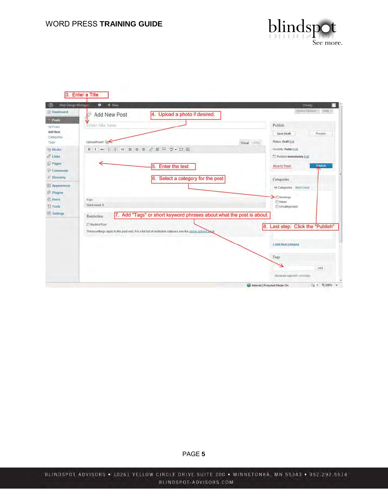

| Web Design Michigan                                                         | $+$ Now<br>຺                         |                                                                                                             | Howdy.                                                                                        |
|-----------------------------------------------------------------------------|--------------------------------------|-------------------------------------------------------------------------------------------------------------|-----------------------------------------------------------------------------------------------|
| (ii) Dashboard<br>$\leq$ Posts                                              | Add New Post                         | 4. Upload a photo if desired.                                                                               | Screen Options<br>Help's<br>Publish                                                           |
| All Posts<br>Add New<br>Categories<br>Tags                                  | Enter-title here<br>Upload/Insert @  | Visual HTML                                                                                                 | Save Draft<br>Preview<br>Status: Draft Edil                                                   |
| <b>Media</b><br>$2^9$ Links<br><b>Pages</b><br>Comments<br><b>Directory</b> |                                      | B I * E E * B * 1 2 度 H * > 四 图<br>5.<br>Enter the text<br>6. Select a category for the post                | Visibility: Public Edit<br>Publish immediately Edit<br>Publish<br>Move to Trash<br>Categories |
| Appearance<br><b>S</b> Plugins<br>Users<br>Ti Tools<br><b>IV Settings</b>   | Path:<br>Word count 0<br>Restriction | 7. Add "Tags" or short keyword phrases about what the post is about.                                        | All Categories Most Used<br>$M$ eetings<br>News:<br>Uncategorized                             |
|                                                                             | Restrict Post                        | These settings apply to this post only. For a full list of restriction statuses see the global options bage | 8. Last step: Click the "Publish"                                                             |
|                                                                             |                                      |                                                                                                             | + Add New Category                                                                            |
|                                                                             |                                      |                                                                                                             | Tags<br>Add.                                                                                  |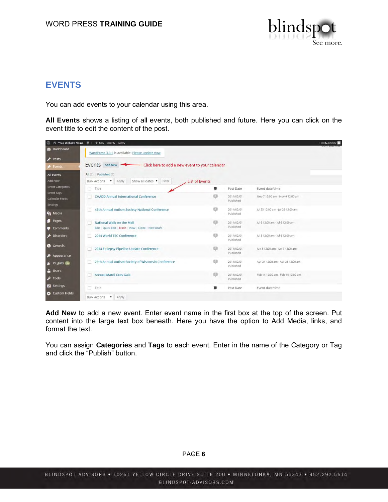

# <span id="page-5-0"></span>**EVENTS**

You can add events to your calendar using this area.

**All Events** shows a listing of all events, both published and future. Here you can click on the event title to edit the content of the post.

| $\omega$                                     | Your Website Name (D) + New Security Gallery                            |                       |                         |                                   | Howdy, Lindsey |
|----------------------------------------------|-------------------------------------------------------------------------|-----------------------|-------------------------|-----------------------------------|----------------|
| <b>@</b> Dashboard                           | WordPress 3.9.1 is available! Please update now.                        |                       |                         |                                   |                |
| Posts                                        |                                                                         |                       |                         |                                   |                |
| Events                                       | Events Add New Click here to add a new event to your calendar           |                       |                         |                                   |                |
| <b>All Events</b>                            | All (7)   Published (7)                                                 |                       |                         |                                   |                |
| Add New                                      | Show all dates v Filter<br>Bulk Actions • Apply                         | <b>List of Events</b> |                         |                                   |                |
| <b>Event Categories</b><br><b>Event Tags</b> | Title<br>n.                                                             | 寧                     | Post Date               | Event date/time                   |                |
| Calendar Feeds<br>Settings                   | <b>CHADD Annual International Conference</b>                            | o                     | 2014/02/01<br>Published | Nov 7 12:00 am - Nov 9 12:00 am   |                |
| <b>91</b> Media                              | 45th Annual Autism Society National Conference                          | o                     | 2014/02/01<br>Published | Jul 23 12:00 am - Jul 26 12:00 am |                |
| <b>Pages</b><br>Comments                     | National Walk on the Mall<br>Edit Quick Edit Trash View Clone New Draft | o                     | 2014/02/01<br>Published | Jul 6 12:00 am - Jul 6 12:00 am   |                |
| Disorders                                    | 2014 World TSC Conference                                               | o                     | 2014/02/01<br>Published | Jul 3 12:00 am - Jul 6 12:00 am   |                |
| <b>6</b> Genesis<br>Appearance               | 2014 Epilepsy Pipeline Update Conference                                | o                     | 2014/02/01<br>Published | Jun 5 12:00 am - Jun 7 12:00 am   |                |
| Plugins 10                                   | 25th Annual Autism Society of Wisconsin Conference                      | o                     | 2014/02/01<br>Published | Apr 24 12:00 am - Apr 26 12:00 am |                |
| & Users<br>$F$ Tools                         | Annual Mardi Gras Gala                                                  | o                     | 2014/02/01<br>Published | Feb 14 12:00 am - Feb 14 12:00 am |                |
| Settings                                     | Title                                                                   |                       | Post Date               | Event date/time                   |                |
| <b>Custom Fields</b>                         | <b>Bulk Actions</b><br>* Apply                                          |                       |                         |                                   |                |

**Add New** to add a new event. Enter event name in the first box at the top of the screen. Put content into the large text box beneath. Here you have the option to Add Media, links, and format the text.

You can assign **Categories** and **Tags** to each event. Enter in the name of the Category or Tag and click the "Publish" button.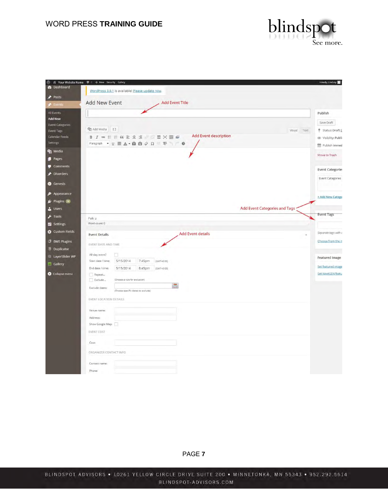

|                                              | 8 Your Website Name D + New Security Gallery                  | Howdy, Lindsey            |
|----------------------------------------------|---------------------------------------------------------------|---------------------------|
| <b>23</b> Dashboard                          | WordPress 3.9.1 is available! Please update now.              |                           |
| Posts                                        |                                                               |                           |
| Events                                       | Add New Event<br><b>Add Event Title</b>                       |                           |
| All Events                                   |                                                               | Publish                   |
| <b>Add New</b>                               |                                                               | Save Draft                |
| <b>Event Categories</b><br><b>Event Tags</b> | <sup>0</sup> 1 Add Media [ ]<br>Visual Text                   | 9 Status: Draft E         |
| Calendar Feeds                               | <b>Add Event description</b><br>B J * E E & E f E = 0 E X 8 @ | Visibility: Publi-        |
| Settings                                     | Paragraph · U 三 A · 自 向 Q Q 三 手 」 ●                           | <b>fiil</b> Publish immed |
| <b>乌</b> 】 Media                             |                                                               |                           |
| Pages                                        |                                                               | Move to Trash             |
| Comments                                     |                                                               | <b>Event Categories</b>   |
| Disorders                                    |                                                               |                           |
| <b>G</b> Genesis                             |                                                               | Event Categories          |
| Appearance                                   |                                                               |                           |
| Plugins 10                                   |                                                               | + Add New Catego          |
| & Users                                      | <b>Add Event Categories and Tags</b>                          |                           |
| $\frac{1}{2}$ Tools                          |                                                               | <b>Event Tags</b>         |
| <b>B</b> Settings                            | Path: p<br>Word count: 0                                      |                           |
| Custom Fields                                |                                                               | Separate tags with c      |
|                                              | <b>Add Event details</b><br><b>Event Details</b>              |                           |
| BWS Plugins<br>Duplicator                    | EVENT DATE AND TIME                                           | Choose from the n         |
| LayerSlider WP                               | All-day event?<br>E1                                          |                           |
| Gallery                                      | Start date / time:<br>5/15/2014<br>7:45pm<br>$(GMT+0:00)$     | Featured Image            |
|                                              | End date / time:<br>5/15/2014<br>8:45pm<br>$(GMT+0:00)$       | Set featured image        |
| Collapse menu                                | Repeat                                                        | Set NextGEN featu         |
|                                              | Exclude<br>(Choose a rule for exclusion)<br>農                 |                           |
|                                              | Exclude dates:<br>(Choose specific dates to exclude)          |                           |
|                                              | EVENT LOCATION DETAILS                                        |                           |
|                                              | Venue name:                                                   |                           |
|                                              | Address:                                                      |                           |
|                                              | Show Google Map:                                              |                           |
|                                              | EVENT COST                                                    |                           |
|                                              |                                                               |                           |
|                                              | Cost:                                                         |                           |
|                                              | ORGANIZER CONTACT INFO                                        |                           |
|                                              | Contact name:                                                 |                           |
|                                              | Phone:                                                        |                           |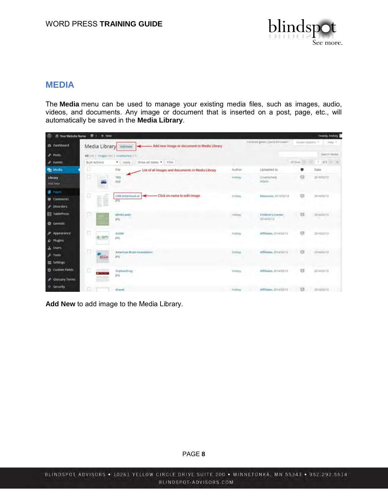

### <span id="page-7-0"></span>**MEDIA**

The **Media** menu can be used to manage your existing media files, such as images, audio, videos, and documents. Any image or document that is inserted on a post, page, etc., will automatically be saved in the **Media Library**.

| 仍<br>Your Website Name | $0 + New$                |                                                                 |          |                                            |                   | Howdy, lindsey |
|------------------------|--------------------------|-----------------------------------------------------------------|----------|--------------------------------------------|-------------------|----------------|
| <b>28 Dashboard</b>    | Media Library            | - Add new image or document to Media Library<br>Add New         |          | You're still gibwin', you're still crowin' | Streen Options =  | Help =         |
| Posts                  |                          | All [110]   (mages (40)   Unattached (17)                       |          |                                            |                   | Search Media   |
| F Events               | <b>Bulk Actions</b>      | Show all dates * Filter<br>* Apply                              |          |                                            | dPiterra, it ( 1) | $1$ af3 $+$ 3  |
| <sup>9</sup> Media     | σ                        | File<br>List of all images and documents in Media Library       | Author   | Uploaded to                                |                   | Date           |
| Library<br>Add New     | α<br><b>SERVICE</b><br>÷ | 18Q<br>PDF                                                      | lindsey  | (Linattached)<br>Attach                    | Ð                 | 2014/02/13     |
| <b>Pages</b>           |                          |                                                                 |          |                                            |                   |                |
| <b>Comments</b>        | ņ<br>H                   | -Click on name to edit image<br>CNN letterhead al<br><b>JPG</b> | lindsey  | Resources 2014/02/13                       | EG.               | 2014/02/13     |
| Disorders              |                          |                                                                 |          |                                            |                   |                |
| 目 TablePress           | u                        | MiniGrant2                                                      | lindsey  | <b>Children's Corner.</b>                  | £3                | 2014/02/13     |
| <b>O</b> Genesis       |                          | PQ                                                              |          | 2014/02/13                                 |                   |                |
| $$$ Appearance         | ū                        | <b>AUSM</b>                                                     | indsey   | Affiliates, 2014/02/13                     | O                 | 2014/02/13     |
| & Plugins              | ausm                     | JPG                                                             |          |                                            |                   |                |
| <b>L</b> Users         |                          |                                                                 |          |                                            |                   |                |
| $F$ Tools              | BRAIN                    | American Brain Foundation<br>JPG                                | lindsey. | Affiliates. 2014/02/13                     | $\circ$           | 2014/02/13     |
| <b>ER</b> Settings     |                          |                                                                 |          |                                            |                   |                |
| Custom Fields          | o                        | OrphanDrug                                                      | lindsey  | Affiliates 2014/02/13                      | G                 | 2014/02/13     |
| Glossary Terms         |                          | <b>JPG</b>                                                      |          |                                            |                   |                |
| <sup>®</sup> Security  | u                        | dravet                                                          | Indsey   | Affiliates, 2014/02/13                     | $\Box$            | 2014/02/13     |

**Add New** to add image to the Media Library.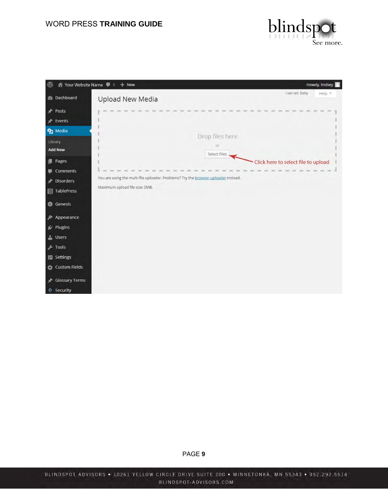

| $^\circledR$                          | Your Website Name <b>P</b> 0 + New                                                 | Howdy, lindsey                      |
|---------------------------------------|------------------------------------------------------------------------------------|-------------------------------------|
| <b><i>C</i></b> Dashboard             | <b>Upload New Media</b>                                                            | I can tell, Dolly<br>Help *         |
| ★<br>Posts                            |                                                                                    |                                     |
| Events<br>∗                           |                                                                                    |                                     |
| 91 Media<br>Library<br><b>Add New</b> | Drop files here<br>or                                                              |                                     |
| Pages<br>198                          | Select Files                                                                       | Click here to select file to upload |
| Comments<br>聊                         |                                                                                    |                                     |
| <b>Disorders</b><br>★                 | You are using the multi-file uploader. Problems? Try the browser uploader instead. |                                     |
| TablePress                            | Maximum upload file size: 2MB.                                                     |                                     |
| <b>G</b> Genesis                      |                                                                                    |                                     |
| Appearance                            |                                                                                    |                                     |
| Plugins                               |                                                                                    |                                     |
| <b>SALA</b> Users                     |                                                                                    |                                     |
| F Tools                               |                                                                                    |                                     |
| <b>En</b> Settings                    |                                                                                    |                                     |
| <b>Custom Fields</b><br>ᅕ             |                                                                                    |                                     |
| <b>Glossary Terms</b><br>⊀            |                                                                                    |                                     |
| Security<br>⊕                         |                                                                                    |                                     |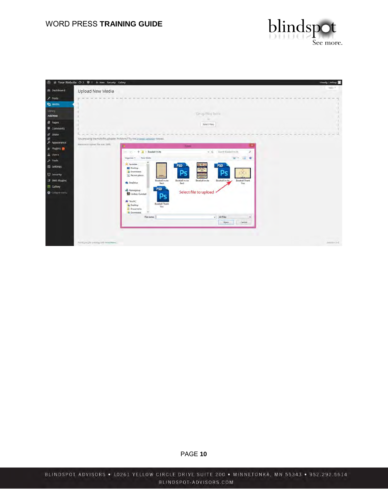

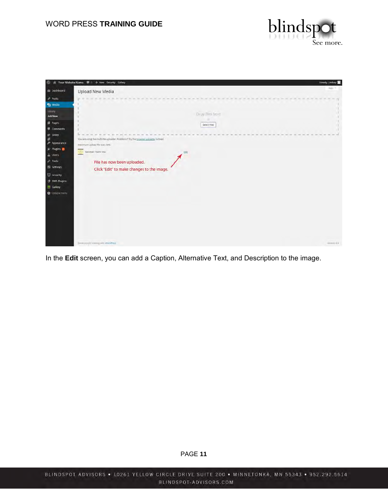



In the **Edit** screen, you can add a Caption, Alternative Text, and Description to the image.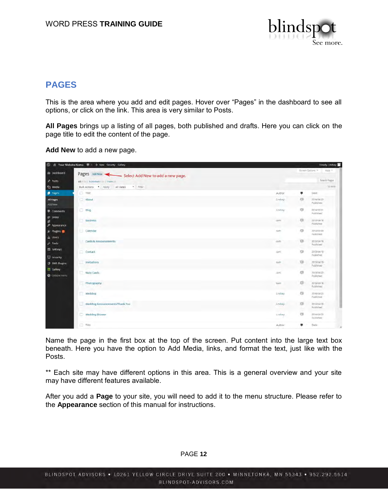

# <span id="page-11-0"></span>**PAGES**

This is the area where you add and edit pages. Hover over "Pages" in the dashboard to see all options, or click on the link. This area is very similar to Posts.

**All Pages** brings up a listing of all pages, both published and drafts. Here you can click on the page title to edit the content of the page.

**Add New** to add a new page.

|                                                                                                                                                                  | S is Your Website Name. I o + New Security Gallery |                 |                            | Howdy, Lindsey                       |
|------------------------------------------------------------------------------------------------------------------------------------------------------------------|----------------------------------------------------|-----------------|----------------------------|--------------------------------------|
| @ Dashboard                                                                                                                                                      | Pages Add New to add a new page.                   |                 |                            | Streen Options<br>Hilp =             |
| $*$ Posts                                                                                                                                                        | All rich is Published mitt ( Trash Cit)            |                 |                            | Search Pages                         |
| $q_1$ Media                                                                                                                                                      | Bulk Actions * Apply All dates * Filter            |                 |                            | $12$ dem                             |
| <b>B</b> Pages                                                                                                                                                   | Title                                              | Author          | 甼                          | Date                                 |
| All Pages<br>Add New                                                                                                                                             | Ahout                                              | Lindsey         | G                          | 2014/04/29<br>Published              |
| Comments                                                                                                                                                         | <b>Blog</b>                                        | <b>Limitsay</b> | 项                          | 2014/05/01<br>Published <sup>®</sup> |
| $\begin{tabular}{ll} \hline \raisebox{-2pt}{\footnotesize\text{\it\#}} & Silder \\ \raisebox{-2pt}{\footnotesize\text{\it\#}} & \end{tabular}$<br>$P$ Appearance | <b>Business</b>                                    | <b>ABIVE</b>    | 页<br>n an                  | 2013/04/18<br>Published              |
| Ar Plugins<br>L Users                                                                                                                                            | Calendar                                           | sam.            | 项                          | 2013/05/09<br>Published.             |
| $\sqrt{ }$ Tools                                                                                                                                                 | Cards & Announcements                              | sam             | 页                          | 2013/04/19<br>Published              |
| Settings<br>(b) security                                                                                                                                         | Contact                                            | siem.           | $\circ$                    | 2013/04/19<br>Published              |
| <b>3</b> BWS Plugins                                                                                                                                             | Invitations                                        | SAV             | Xpi                        | 2013/04/19<br>Published              |
| Gallery<br>Collapsement                                                                                                                                          | Note Cards                                         | diam.           | $\Box$                     | 2013/04/20<br>Published              |
|                                                                                                                                                                  | Photography                                        | 3,8491          | O                          | 2013/06/18<br>Published.             |
|                                                                                                                                                                  | Wedding                                            | Lindsay         | $\sigma$                   | 2014/04/25<br>Published              |
|                                                                                                                                                                  | Wedding Announcements/Thank You                    | Lindsey         | $\frac{1}{2}$<br>٠<br>on a | 2014/04/28<br>Published.             |
|                                                                                                                                                                  | <b>Wedding Shower</b>                              | Lindsey         | CI                         | 2014/04/25<br>Published              |
|                                                                                                                                                                  | Title                                              | Author          | ٠                          | Date<br>$\sim$                       |

Name the page in the first box at the top of the screen. Put content into the large text box beneath. Here you have the option to Add Media, links, and format the text, just like with the Posts.

\*\* Each site may have different options in this area. This is a general overview and your site may have different features available.

After you add a **Page** to your site, you will need to add it to the menu structure. Please refer to the **Appearance** section of this manual for instructions.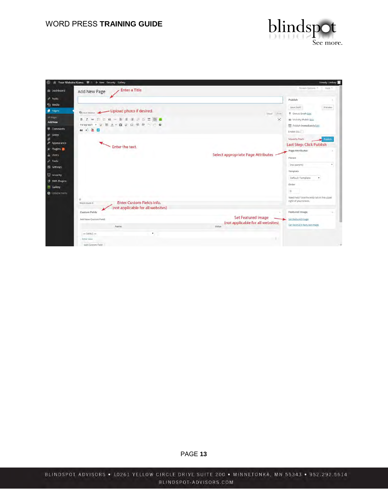

| Enter a Title<br>de Dashboard<br>Add New Page                                                                                                                                                                                                |                                                                | Streen Options<br>Halp =                                          |
|----------------------------------------------------------------------------------------------------------------------------------------------------------------------------------------------------------------------------------------------|----------------------------------------------------------------|-------------------------------------------------------------------|
|                                                                                                                                                                                                                                              |                                                                | Publish                                                           |
| - Upload photo if desired.<br><b>P1 Aud Media</b>                                                                                                                                                                                            | Visual<br>Text:                                                | Save Draft<br><b>Preview</b><br>9 Status: Draft Edit              |
| <b>C G - E 空道 / 百里園 G</b><br><b>B</b><br>$\equiv$<br>hat:<br>$\mathbf{v} \perp \mathbf{v} \equiv \mathbf{A} \cdot \mathbf{B} \cdot \mathbf{O} \cdot \Omega \cdot \mathbf{B} \cdot \mathbf{B} \cdot \mathbf{C} \cdot \mathbf{B}$<br>Paragraph | ×                                                              | @ Visibility: Public Edit<br><b>The Publish Immediately Edit</b>  |
| Comments<br>转动器图                                                                                                                                                                                                                             |                                                                | Enable SSL:                                                       |
| $$$ Appearance<br>Enter the text.                                                                                                                                                                                                            |                                                                | Move to Trash<br>Publish<br>Last Step: Click Publish              |
| fir Plugins                                                                                                                                                                                                                                  | Select appropriate Page Attributes                             | Page Attributes<br>Parent                                         |
|                                                                                                                                                                                                                                              |                                                                | (no parent)<br>Template                                           |
| <b>3</b> BWS Plugins                                                                                                                                                                                                                         |                                                                | Default Template<br>Drder                                         |
| Collapsement                                                                                                                                                                                                                                 |                                                                | o                                                                 |
| D.<br><b>Enter Custom Fields info.</b><br>Word Fourt: D                                                                                                                                                                                      |                                                                | Need help? Use the Help tab in the upper<br>right of your screen. |
| (not applicable for all websites)<br>Custom Fields                                                                                                                                                                                           |                                                                | Featured Image                                                    |
| Add New Custom Field                                                                                                                                                                                                                         | <b>Set Featured Image</b><br>(not applicable for all websites) | Sat featured image                                                |
| Name                                                                                                                                                                                                                                         | Value                                                          | Set NextGEN featured (mage)                                       |
| $-$ Select $-$<br>٠                                                                                                                                                                                                                          |                                                                |                                                                   |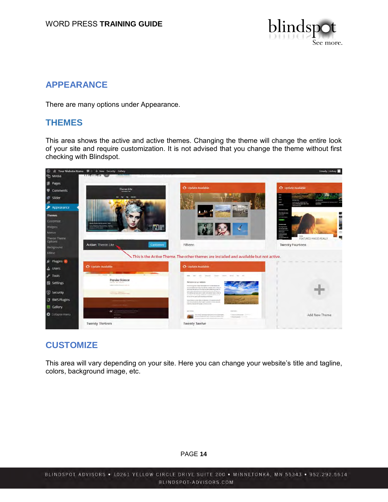

# <span id="page-13-0"></span>**APPEARANCE**

There are many options under Appearance.

### **THEMES**

This area shows the active and active themes. Changing the theme will change the entire look of your site and require customization. It is not advised that you change the theme without first checking with Blindspot.



# **CUSTOMIZE**

This area will vary depending on your site. Here you can change your website's title and tagline, colors, background image, etc.

#### PAGE **14**

BLINDSPOT ADVISORS . 10261 YELLOW CIRCLE DRIVE SUITE 200 . MINNETONKA, MN 55343 . 952.292.5614 BLINDSPOT-ADVISORS.COM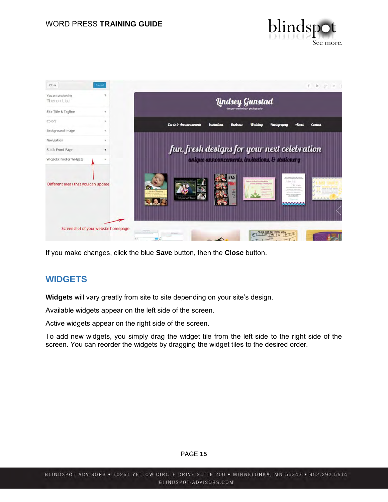



If you make changes, click the blue **Save** button, then the **Close** button.

# **WIDGETS**

**Widgets** will vary greatly from site to site depending on your site's design.

Available widgets appear on the left side of the screen.

Active widgets appear on the right side of the screen.

To add new widgets, you simply drag the widget tile from the left side to the right side of the screen. You can reorder the widgets by dragging the widget tiles to the desired order.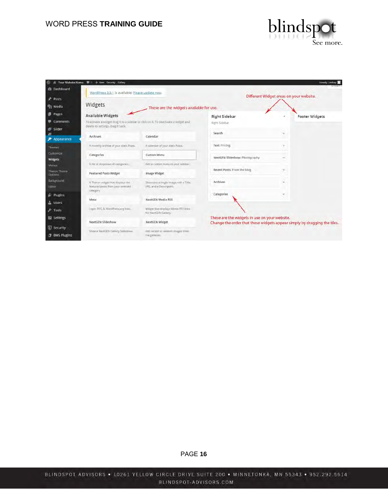

| w                                         | Nour Website Name # 0 + New Security Gallery                                                                                                           |                                                                |                                               | Howdy, Lindsey                                                           |
|-------------------------------------------|--------------------------------------------------------------------------------------------------------------------------------------------------------|----------------------------------------------------------------|-----------------------------------------------|--------------------------------------------------------------------------|
| <b><i>et</i></b> Dashboard                | WordPress 3.9.1 is available! Please update now.                                                                                                       |                                                                |                                               |                                                                          |
| ÷<br>Posts<br><sup>9</sup> 7 Media        | Widgets                                                                                                                                                | These are the widgets available for use.                       |                                               | Different Widget areas on your website.                                  |
| <b>Pages</b><br>Comments<br>Slider        | <b>Available Widgets</b><br>To activate a widget drag it to a sidebar or click on it. To deactivate a widget and<br>delete its settings, drag it back. |                                                                | <b>Right Sidebar</b><br>Right Sidebar         | <b>Footer Widgets</b>                                                    |
| Appearance                                | Archives                                                                                                                                               | Calendar                                                       | Search                                        |                                                                          |
| Themes                                    | A monthly archive of your size a Posts.                                                                                                                | A calendar of your site a Posts.                               | Text: Pricing                                 |                                                                          |
| Customize<br><b>Widgets</b>               | Categories                                                                                                                                             | Custom Menu                                                    | NextGEN Slideshow: Photography                | ÷                                                                        |
| Menus                                     | A list or dropdown of categories.                                                                                                                      | Add a custom menu to your sidebar.                             |                                               |                                                                          |
| Theron Theme<br>Options                   | <b>Featured Posts Widget</b>                                                                                                                           | <b>Image Widget</b>                                            | Recent Posts: From the blog                   | Y.                                                                       |
| Background<br>Editor                      | A Theron wedget that displays the<br>featured posts from your selected<br>category                                                                     | Showcase a single image with a Tille,<br>URL and a Description | Archives                                      | w.                                                                       |
| <b>K</b> Plugins                          |                                                                                                                                                        |                                                                | Categories                                    | ٠                                                                        |
| <b>Users</b>                              | Meta                                                                                                                                                   | NextGEN Media RSS                                              |                                               |                                                                          |
| $\sqrt{2}$ Tools                          | Login: RSS, & WordPress.org links.                                                                                                                     | Widger that displays Media RSS links<br>for NextGEN Gallery,   |                                               |                                                                          |
| <b>EE</b> Settings                        | NextGEN Slideshow                                                                                                                                      | NextGEN Widget                                                 | These are the widgets in use on your website. | Change the order that these widgets appear simply by dragging the tiles. |
| <b>G</b> Security<br><b>3</b> BWS Plugins | Show a NextGEN Gallery Slideshow                                                                                                                       | Add recent or random images from<br>the galleries              |                                               |                                                                          |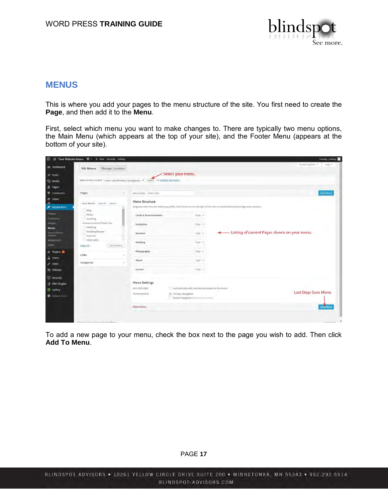

### <span id="page-16-0"></span>**MENUS**

This is where you add your pages to the menu structure of the site. You first need to create the **Page**, and then add it to the **Menu**.

First, select which menu you want to make changes to. There are typically two menu options, the Main Menu (which appears at the top of your site), and the Footer Menu (appears at the bottom of your site).

| $\omega$                             | ■ Your Website Name ■ ○ + New Security Gallery                                      |                       |                                                              |            | Howdy, Lindsey                                                                                                                |
|--------------------------------------|-------------------------------------------------------------------------------------|-----------------------|--------------------------------------------------------------|------------|-------------------------------------------------------------------------------------------------------------------------------|
| <b>28 Dashboard</b>                  | Manage Locations<br><b>Edit Menus</b>                                               |                       |                                                              |            | Koven Gottom #<br>Help #                                                                                                      |
| Posts                                |                                                                                     |                       | Select your menu.                                            |            |                                                                                                                               |
| <b>Q<sub>2</sub></b> Media           | Select a menu to edit: main nay (Primary Navigation) . Select or create a new menu. |                       |                                                              |            |                                                                                                                               |
| <b>Fages</b>                         |                                                                                     |                       |                                                              |            |                                                                                                                               |
| Comments                             | Pages                                                                               | Meny Nome Intain nav  |                                                              |            | Save Menu                                                                                                                     |
| Slider<br>٠<br>Appearance            | Most Recent View All Search                                                         | Menu Structure        |                                                              |            | Drag each nem into the order you prefer. Click tive arrow on the right of the nem to reveal additional configuration options. |
| Themes.<br>Customize                 | Blog<br>About<br><b>Wedding</b>                                                     | Cards & Announcements |                                                              | Page =     |                                                                                                                               |
| Widgets<br><b>Menus</b>              | Announcements/Thank You<br>Weddive                                                  | Invitations           |                                                              | Page 1911  |                                                                                                                               |
| Theron Theme<br>Options              | Wedding Shower<br>Calendar                                                          | <b>Business</b>       |                                                              | Page - A   | - Listing of current Pages shown on your menu.                                                                                |
| Background<br>Editor                 | Note Cards<br>Add to Menu<br>Select All                                             | Wedding               |                                                              | $3486 - 4$ |                                                                                                                               |
| fir Plugins                          | Links                                                                               | Photography           |                                                              | Page =     |                                                                                                                               |
| & Users<br>$F$ Tools                 | Categories                                                                          | About                 |                                                              | Page / d   |                                                                                                                               |
| <b>El Settings</b>                   |                                                                                     | Contact               |                                                              | Page : T   |                                                                                                                               |
| (5) Security<br><b>3</b> BWS Plugins |                                                                                     | Menu Settings         |                                                              |            |                                                                                                                               |
| Gallery                              |                                                                                     | Auto add pages        | Automatically add new top-level pages to this mono-          |            |                                                                                                                               |
| Collapse minu                        |                                                                                     | Theme locations:      | Primary Navigation<br>Fonter Navigation (Cinnery are a fixed |            | Last Step: Save Menu                                                                                                          |
|                                      |                                                                                     | Delete Menu           |                                                              |            | <b>Save Mirriu</b>                                                                                                            |
|                                      | Homicana for contactual tensibles of                                                |                       |                                                              |            | <b>American Sat</b>                                                                                                           |

To add a new page to your menu, check the box next to the page you wish to add. Then click **Add To Menu**.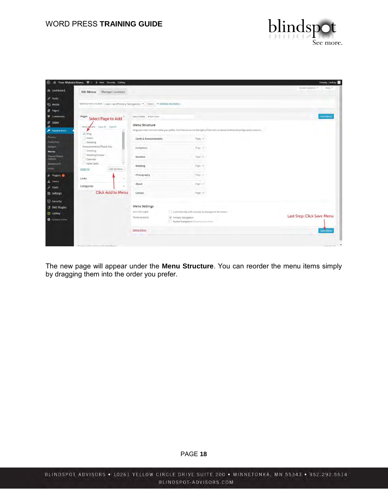

| $\varpi$                       | <b>N</b> Your Website Name $\blacksquare$ o + New Security Gallery                  |                       |                                                             |                                                                                                                              | Howdy, Lindsey             |
|--------------------------------|-------------------------------------------------------------------------------------|-----------------------|-------------------------------------------------------------|------------------------------------------------------------------------------------------------------------------------------|----------------------------|
| <b>22 Dashboard</b>            | Manage Locations<br><b>Edit Menus</b>                                               |                       |                                                             |                                                                                                                              | Kneen Gotions #<br>Help #  |
| Posts                          |                                                                                     |                       |                                                             |                                                                                                                              |                            |
| <b>Q<sub>2</sub></b> Media     | Select a menu to edit: main nay (Primary Navigation) . Select Or create a new menu. |                       |                                                             |                                                                                                                              |                            |
| <b>B</b> Pages                 |                                                                                     |                       |                                                             |                                                                                                                              |                            |
| Comments                       | Pages<br>Select Page to Add                                                         | Meny Nome main nav-   |                                                             |                                                                                                                              | Save Merria                |
| Slider                         | Most Recent Wew All Search                                                          | Menu Structure        |                                                             |                                                                                                                              |                            |
| Appearance                     | v Blog                                                                              |                       |                                                             | Drag each nem into the order you prefer, Click the arrow on the right of the nem to reveal additional configuration options. |                            |
| Themes.<br>Customize           | About<br><b><i>Viedding</i></b>                                                     | Cards & Announcements |                                                             | Page / #1                                                                                                                    |                            |
| Widgett<br><b>Menus</b>        | Announcements/Thank You<br>Wedding                                                  | Invitations           |                                                             | Bigs (m)                                                                                                                     |                            |
| <b>Theran Theme</b><br>Options | Wedding Shower<br>Calendar                                                          | <b>Business</b>       |                                                             | Flori A                                                                                                                      |                            |
| Background<br>Editor           | Note Cards<br>Add to Menu<br>Select All                                             | Wedding               |                                                             | $7046 - 4$                                                                                                                   |                            |
| for Plugins<br>& Users         | Links                                                                               | Photography           |                                                             | Page ( w )                                                                                                                   |                            |
| $F$ Tools                      | Categories                                                                          | About                 |                                                             | <b>Page 1.4</b>                                                                                                              |                            |
| <b>Ell</b> Settings            | <b>Click Add to Menu</b>                                                            | Contact               |                                                             | PERTY.                                                                                                                       |                            |
| (5) Security                   |                                                                                     |                       |                                                             |                                                                                                                              |                            |
| <b>3</b> BWS Plugins           |                                                                                     | Menu Settings         |                                                             |                                                                                                                              |                            |
| <b>Gallery</b>                 |                                                                                     | Auto add pages        |                                                             | Automatically add new top-level pages to this mono-                                                                          |                            |
| <b>O</b> Collapse mmnu         |                                                                                     | Theme locations:      | Primary Navigation<br>Forter Navigation (Committee of their |                                                                                                                              | Last Step: Click Save Menu |
|                                |                                                                                     | Delate Manu           |                                                             |                                                                                                                              | <b>Save Mariu</b>          |
|                                |                                                                                     |                       |                                                             |                                                                                                                              |                            |
|                                | Homicana for contractants wouldness                                                 |                       |                                                             |                                                                                                                              | Manuvin Bill               |

The new page will appear under the **Menu Structure**. You can reorder the menu items simply by dragging them into the order you prefer.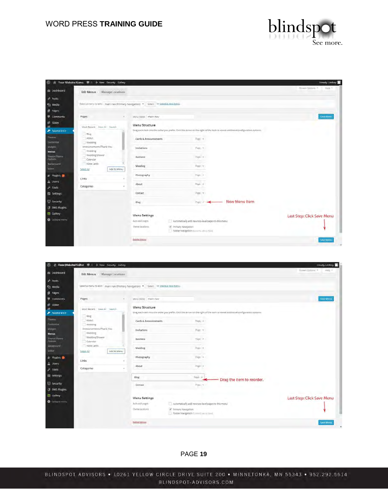

|                                 | (1) all Your Website Name . ■ 0 + New Security Gallery |                                                                                        |                                                                                                                                | Howdy, Lindsey             |
|---------------------------------|--------------------------------------------------------|----------------------------------------------------------------------------------------|--------------------------------------------------------------------------------------------------------------------------------|----------------------------|
| da Dashboard                    | Edit Menus Manage Locations                            |                                                                                        |                                                                                                                                | Streen Options<br>Halp =   |
| * Posts                         |                                                        |                                                                                        |                                                                                                                                |                            |
| <sup>9</sup> 2 Media            |                                                        | Select a menu to editi - main nav (Primary Navigation) . Select - or create a new menu |                                                                                                                                |                            |
| <b>Fages</b>                    |                                                        |                                                                                        |                                                                                                                                |                            |
| Comments                        | Pages<br>$\sim$                                        | Meta Name. I main nav                                                                  |                                                                                                                                | Save Menu                  |
| Slider                          |                                                        | Menu Structure                                                                         |                                                                                                                                |                            |
| $\mathcal{L}$<br>Appearance     | Most Recent View All Search                            |                                                                                        | Drag each item into the order you prefer. Click the arrow on the right of the item to reveal additional configuration options. |                            |
| Thernes                         | filog                                                  |                                                                                        |                                                                                                                                |                            |
| Customlae                       | About.<br><b>Wedding</b>                               | Cards & Announcements                                                                  | $0$ ago $-$                                                                                                                    |                            |
| Wideble                         | Announcements/Thank You.                               | Invitations                                                                            | Poge =                                                                                                                         |                            |
| <b>Menus</b>                    | Wedding                                                |                                                                                        |                                                                                                                                |                            |
| <b>Theron Thema</b><br>Options. | Wedding Shower<br>Calendar                             | <b>Business</b>                                                                        | Page #                                                                                                                         |                            |
| <b>Background</b>               | Note Cards                                             | Wedding                                                                                | Page (m)                                                                                                                       |                            |
| <b>FLITOV</b>                   | Add to Menu<br>Select All                              |                                                                                        |                                                                                                                                |                            |
| Ar Plugins                      |                                                        | Photography                                                                            | Figt 4                                                                                                                         |                            |
| <b>A</b> Users                  | Links                                                  | About                                                                                  | Right 4                                                                                                                        |                            |
| $\sqrt{2}$ Tools                | Categories                                             |                                                                                        |                                                                                                                                |                            |
| El Settings                     |                                                        | Contact                                                                                | Pitte W                                                                                                                        |                            |
| <b>D</b> Security               |                                                        | Blog                                                                                   | New Menu Item<br>Page 14                                                                                                       |                            |
| <b>3</b> BWS Plugins            |                                                        |                                                                                        |                                                                                                                                |                            |
| Gallery                         |                                                        |                                                                                        |                                                                                                                                |                            |
| Collapse menu                   |                                                        | Menu Settings                                                                          |                                                                                                                                | Last Step: Click Save Menu |
|                                 |                                                        | Auto add coges                                                                         | Automatically add new top-level pages to this menu                                                                             |                            |
|                                 |                                                        | Therné facutions:                                                                      | V Primary Navigation<br>Footer Nevigation (Conversion four)                                                                    |                            |
|                                 |                                                        | Delete Menu                                                                            |                                                                                                                                | Save Menu                  |
|                                 |                                                        |                                                                                        |                                                                                                                                |                            |

| 仍                                                 | B Note Website Name ( c + New Security Gallery                                      |                       |                                                             |                 |                                                                                                                              | Howdy, Lindsey             |
|---------------------------------------------------|-------------------------------------------------------------------------------------|-----------------------|-------------------------------------------------------------|-----------------|------------------------------------------------------------------------------------------------------------------------------|----------------------------|
| <b>22 Dashboard</b>                               | Manage Locations<br><b>Edit Menus</b>                                               |                       |                                                             |                 |                                                                                                                              | Koven Gotions #<br>Help #  |
| Posts                                             |                                                                                     |                       |                                                             |                 |                                                                                                                              |                            |
| 9 <sub>2</sub> Media                              | Select a menu to edit: main rray (Primary Navigation) . Select Or create a new menu |                       |                                                             |                 |                                                                                                                              |                            |
| <b>F</b> Pages                                    |                                                                                     |                       |                                                             |                 |                                                                                                                              |                            |
| Comments                                          | Pages<br>$\sim$                                                                     | Meny Nome main nav-   |                                                             |                 |                                                                                                                              | Save Merry                 |
| d <sup>2</sup> Slider<br>$\overline{\phantom{a}}$ | Most Recent View All Search                                                         | Menu Structure        |                                                             |                 |                                                                                                                              |                            |
| Appearance                                        | Blog                                                                                |                       |                                                             |                 | Drag each nem into the order you prefer. Click the arrow on the right of the nem to reveal additional configuration options. |                            |
| Themes.<br>Customize                              | About                                                                               | Cards & Announcements |                                                             | high/ in        |                                                                                                                              |                            |
| <b>Widgets</b>                                    | <b>Vvedding</b><br>Announcements/Thank You                                          | Invitations           |                                                             | Page 14         |                                                                                                                              |                            |
| Menus                                             | Wedding                                                                             |                       |                                                             |                 |                                                                                                                              |                            |
| Theran Theme<br>Options                           | Wedding Shower<br>Calendar                                                          | <b>Business</b>       |                                                             | <b>Flight A</b> |                                                                                                                              |                            |
| Background<br>Editor                              | Note Cards                                                                          | Wedding               |                                                             | $3086 - 4$      |                                                                                                                              |                            |
| dr Plugins                                        | Add to Menu<br>Select All                                                           | Photography           |                                                             | - 1<br>Page (w) |                                                                                                                              |                            |
| & Users                                           | Links                                                                               |                       |                                                             |                 |                                                                                                                              |                            |
| $_F$ Tools                                        | Categories                                                                          | About                 |                                                             | <b>Page In</b>  |                                                                                                                              |                            |
| <b>Ell</b> Settings                               |                                                                                     | Blog                  |                                                             | Algo #          | Drag the item to reorder.                                                                                                    |                            |
| 5 Security                                        |                                                                                     | Contact               |                                                             | Page 17         |                                                                                                                              |                            |
| <b>3</b> BWS Plugins                              |                                                                                     |                       |                                                             |                 |                                                                                                                              |                            |
| Gallery                                           |                                                                                     | Menu Settings         |                                                             |                 |                                                                                                                              | Last Step: Click Save Menu |
| O Collapse minu                                   |                                                                                     | Auto zold pages       | Automatically add new top-level pages to this menu          |                 |                                                                                                                              |                            |
|                                                   |                                                                                     | ment is more          | Primary Navigation<br>Footer Navigation (Committee to tool) |                 |                                                                                                                              |                            |
|                                                   |                                                                                     | Deleté Menu           |                                                             |                 |                                                                                                                              | <b>Save Menu</b>           |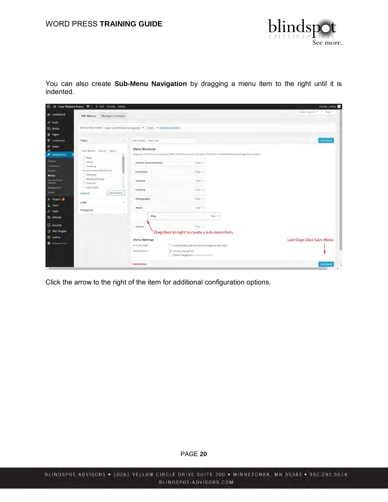

You can also create **Sub-Menu Navigation** by dragging a menu item to the right until it is indented.

| $\omega$                        | Your Website Name $\blacksquare$ o + New Security Gallery                            |                       |                                                             |                                                                                                                              | Howdy, Lindsey             |
|---------------------------------|--------------------------------------------------------------------------------------|-----------------------|-------------------------------------------------------------|------------------------------------------------------------------------------------------------------------------------------|----------------------------|
| <b>28 Dashboard</b>             | <b>Edit Menus</b><br>Manage Locations                                                |                       |                                                             |                                                                                                                              | Koven Gotions #<br>Help #  |
| Posts                           |                                                                                      |                       |                                                             |                                                                                                                              |                            |
| <sup>Q</sup> <sub>2</sub> Media | Select a menu to edit: main rray (Primary Navigation) . Select Or create a new menu. |                       |                                                             |                                                                                                                              |                            |
| <b>F</b> Pages                  |                                                                                      |                       |                                                             |                                                                                                                              |                            |
| Comments                        | Pages                                                                                | Meny Norse _ main nav |                                                             |                                                                                                                              | Save Merry                 |
| stider                          | Most Recent View All Search                                                          | Menu Structure        |                                                             |                                                                                                                              |                            |
| Appearance                      | Blog                                                                                 |                       |                                                             | Drag each nem into the order you prefer. Click the arrow on the right of the nem to reveal additional configuration options. |                            |
| Themes.<br>Customize            | About<br><b>Vvedding</b>                                                             | Cards & Announcements | Page / F                                                    |                                                                                                                              |                            |
| <b>Widgets</b><br><b>Menus</b>  | Announcements/Thank You<br>Wedding                                                   | Invitations           | Page 19                                                     |                                                                                                                              |                            |
| Theran Theme<br>Options         | Wedding Shower<br>Calendar                                                           | <b>Business</b>       | Fage : A                                                    |                                                                                                                              |                            |
| Background<br>Editor            | Note Cards<br>Add to Menu<br>Select All                                              | Wedding               | $3486 - 4$                                                  |                                                                                                                              |                            |
| for Plugins                     | Links                                                                                | Photography           | Page in                                                     |                                                                                                                              |                            |
| & Users<br>$F$ Tools            | Categories                                                                           | About                 | <b>Rigicial</b>                                             |                                                                                                                              |                            |
| <b>Ell</b> Settings             |                                                                                      | Blog                  |                                                             | Fags in                                                                                                                      |                            |
| (5) Security                    |                                                                                      | Contact               | Page T                                                      |                                                                                                                              |                            |
| <b>3</b> BWS Plugins            |                                                                                      |                       | Drag item to right to create a sub-menu item.               |                                                                                                                              |                            |
| Gallery                         |                                                                                      | Menu Settings         |                                                             |                                                                                                                              | Last Step: Click Save Menu |
| O Collapse mmu                  |                                                                                      | Automatic pages       | Automatically add new top-level pages to this menu          |                                                                                                                              |                            |
|                                 |                                                                                      | Themil lacations      | Primary Navigation<br>Foster Navigation (Committee to tool) |                                                                                                                              |                            |
|                                 |                                                                                      | Deleté Menu           |                                                             |                                                                                                                              | <b>Save Menu</b>           |

Click the arrow to the right of the item for additional configuration options.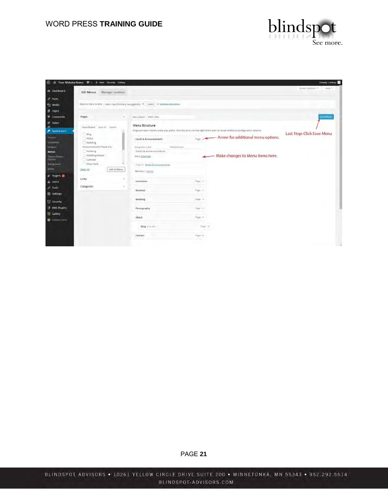

| Ø                                                                                                                                                                                                                                                                               | il Your Website Name . Il o + New Security Gallery                                                                                                                                             |                                                                                                                                                                                                                                                                                                                                                                                                         |                                                                           |                                                                                 | Howdy, Lindsey             |
|---------------------------------------------------------------------------------------------------------------------------------------------------------------------------------------------------------------------------------------------------------------------------------|------------------------------------------------------------------------------------------------------------------------------------------------------------------------------------------------|---------------------------------------------------------------------------------------------------------------------------------------------------------------------------------------------------------------------------------------------------------------------------------------------------------------------------------------------------------------------------------------------------------|---------------------------------------------------------------------------|---------------------------------------------------------------------------------|----------------------------|
| <b><i>I</i></b> Dashboard                                                                                                                                                                                                                                                       | Manage Lucations<br>Edit Menus                                                                                                                                                                 |                                                                                                                                                                                                                                                                                                                                                                                                         |                                                                           |                                                                                 | Streen Dotions<br>$Heib =$ |
| Posts<br><sup>9</sup> <sub>2</sub> Media<br><b>F</b> Pages                                                                                                                                                                                                                      |                                                                                                                                                                                                | Select a menu to edit: main nav (Primary Navigation) . Select or greate a morman                                                                                                                                                                                                                                                                                                                        |                                                                           |                                                                                 |                            |
| Comments                                                                                                                                                                                                                                                                        | Pages<br>$\sim$                                                                                                                                                                                | Menu Nome main nav                                                                                                                                                                                                                                                                                                                                                                                      |                                                                           |                                                                                 | Save Menu                  |
| Slider<br>Appearance<br><b>Themes</b><br>Customize<br><b>Widgets</b><br><b>Menus</b><br>Theron Theme<br>Options<br><b>Background</b><br>Editor<br>& Plugins<br>& Users<br>$\sqrt{k}$ Tools<br><b>El Settings</b><br>Security<br><b>3</b> BWS Plugins<br>Gallery<br>Colapse many | Most Recent View All Search<br>Blog<br>About.<br>Wedding<br>Announcements/Thank You<br>Wedding<br>Wedding Shower<br>Calendar<br>Note Cards<br>Add to Menu<br>Select All<br>Links<br>Categories | Menu Structure<br>Drag each item into the order you prefer. Click the arrow on the right of the item to reveal additional configuration options.<br>Cards & Announcements<br>Tille Attribuis<br>Navyustin Label<br>Cards & Announcements<br>Move Down one<br>Oramusi Cards & Announcements<br>Remove   Cancel<br>Invitations<br>Business<br>Werkfing<br>Photography.<br>About<br>Blog jun hm<br>Contact | Stat. 4<br>Page 14<br>Rige 4<br>High in<br>Pepp 19<br>Flore in<br>Signi = | <b>Arrow for additional menu options.</b><br>- Make changes to Menu items here. | Last Step: Click Save Menu |
|                                                                                                                                                                                                                                                                                 |                                                                                                                                                                                                |                                                                                                                                                                                                                                                                                                                                                                                                         |                                                                           |                                                                                 |                            |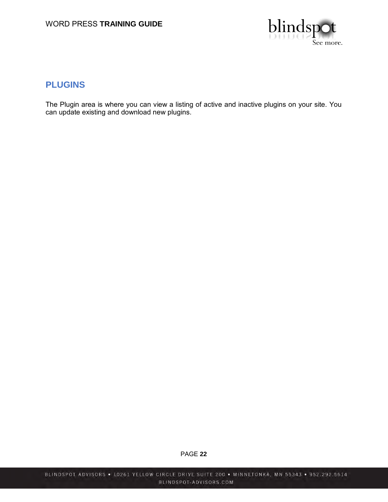

### <span id="page-21-0"></span>**PLUGINS**

The Plugin area is where you can view a listing of active and inactive plugins on your site. You can update existing and download new plugins.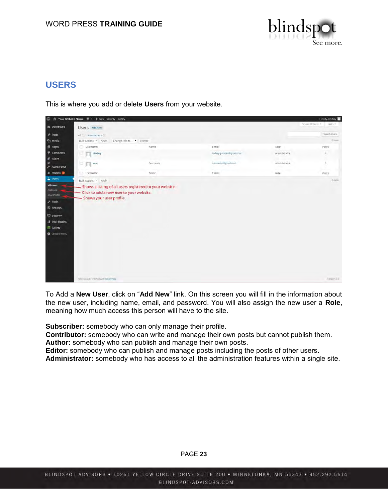

# <span id="page-22-0"></span>**USERS**

This is where you add or delete **Users** from your website.

| $\omega$                                                                                                                                                | Nour Website Name . ■ 0 + New Security Gallery                                                 |                                                            |                          |                    | Howdy, Lindsey                       |
|---------------------------------------------------------------------------------------------------------------------------------------------------------|------------------------------------------------------------------------------------------------|------------------------------------------------------------|--------------------------|--------------------|--------------------------------------|
| # Dashboard                                                                                                                                             | Users Add New                                                                                  |                                                            |                          |                    | Streen Options<br>Help. <sup>2</sup> |
| Posts                                                                                                                                                   | All (2)   Administrator (2)                                                                    |                                                            |                          |                    | Search Lisers                        |
| <sup>9</sup> <sub>2</sub> Media                                                                                                                         | Bulk Actions . Apply.                                                                          | Change role to  . Change                                   |                          |                    | 2 ivers.                             |
| <b>F</b> Pages                                                                                                                                          | Usemame                                                                                        | Name                                                       | E-mail                   | Role               | Posts                                |
| Comments                                                                                                                                                | Lindsey                                                                                        |                                                            | indsey.gunstad@gmail.com | Administrator      | $\bar{2}$                            |
| di slider<br>齞<br>$\gg$ Appearance                                                                                                                      | ா<br>sam.                                                                                      | Sam Lewis                                                  | lewmaster@gmail.com      | ۰<br>Administrator | $\overline{2}$                       |
| & Plugins                                                                                                                                               | Username                                                                                       | Name                                                       | E-mail                   | ×.<br>Role         | Posts                                |
| & Users<br>All Users<br>Add New<br>Your Profile<br>$\neq$ Tools<br>El settings<br><b>D</b> Security<br><b>3</b> BWS Plugins<br>Gallery<br>Collapsé menu | Buik Actions > Apply<br>- Click to add a new user to your website.<br>Shows your user profile. | - Shows a listing of all users registered to your website. |                          |                    | $2$ carse.                           |
|                                                                                                                                                         | Thankyou for creding with Word Press                                                           |                                                            |                          |                    | Version 3.4                          |

To Add a **New User**, click on "**Add New**" link. On this screen you will fill in the information about the new user, including name, email, and password. You will also assign the new user a **Role**, meaning how much access this person will have to the site.

**Subscriber:** somebody who can only manage their profile.

**Contributor:** somebody who can write and manage their own posts but cannot publish them. **Author:** somebody who can publish and manage their own posts.

**Editor:** somebody who can publish and manage posts including the posts of other users.

**Administrator:** somebody who has access to all the administration features within a single site.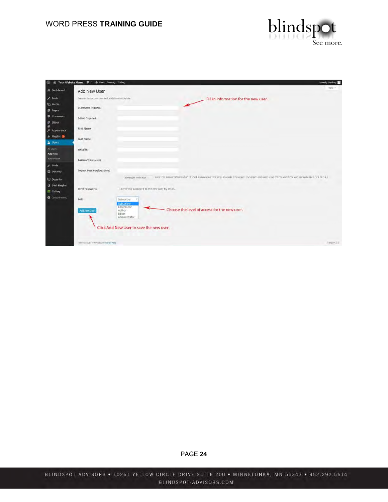

|                                                   | 图 图 Your Website Name 单 0 + New Security Gallery   |                                                                                              |                                                                                                                                                          | Howdy. Lindsey |
|---------------------------------------------------|----------------------------------------------------|----------------------------------------------------------------------------------------------|----------------------------------------------------------------------------------------------------------------------------------------------------------|----------------|
| # Dashboard                                       | Add New User                                       |                                                                                              |                                                                                                                                                          | Help.+         |
| Posts                                             | Create a brand new user and add them to this site. |                                                                                              | Fill in information for the new user.                                                                                                                    |                |
| <sup>2</sup> <sub>2</sub> Media<br><b>F</b> Pages | Username (required)                                |                                                                                              |                                                                                                                                                          |                |
| Comments<br><b>IF Slider</b>                      | E-mail (required)                                  |                                                                                              |                                                                                                                                                          |                |
| 卤<br>$\gg$ Appearance                             | <b>Eirst Name</b>                                  |                                                                                              |                                                                                                                                                          |                |
| & Plugins<br><b>A</b> Users                       | Last Name                                          |                                                                                              |                                                                                                                                                          |                |
| All Users<br>Add New                              | Website                                            |                                                                                              |                                                                                                                                                          |                |
| Your Profile                                      | Password (required)                                |                                                                                              |                                                                                                                                                          |                |
| $\sqrt{ }$ Tools<br>El Settings                   | Repeat Password (required)                         |                                                                                              |                                                                                                                                                          |                |
| <b>D</b> Security                                 |                                                    | Strength indicator                                                                           | Him: The password should be at least seven characters larg. To make it stronger, ase upper and kover case teners, numbers, and symbols like   [28 % ~ 4] |                |
| <b>3</b> BWS Plugins<br>Gallery                   | Send Password?                                     | Send this password to the new user by email.                                                 |                                                                                                                                                          |                |
| Collapté menu                                     | Role                                               | <b>Subscriber</b><br>٠<br><b>Subscriber</b>                                                  |                                                                                                                                                          |                |
|                                                   | Add New User                                       | Contributor<br>Author<br>Editor<br>Administrator<br>Click Add New User to save the new user. | Choose the level of access for the new user.                                                                                                             |                |
|                                                   |                                                    |                                                                                              |                                                                                                                                                          |                |
|                                                   | Thankyou for meding with Word Press-               |                                                                                              |                                                                                                                                                          | Version 3.1    |